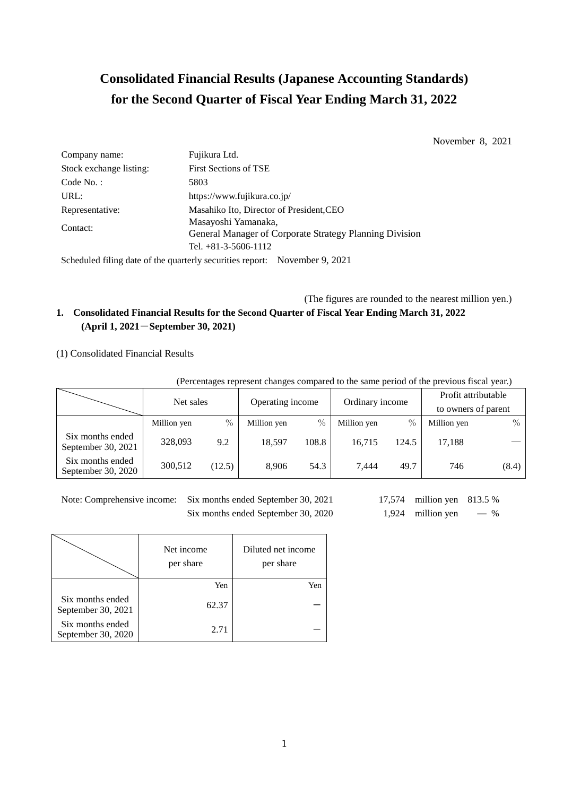# **Consolidated Financial Results (Japanese Accounting Standards) for the Second Quarter of Fiscal Year Ending March 31, 2022**

November 8, 2021

| Fujikura Ltd.                                                                  |
|--------------------------------------------------------------------------------|
| <b>First Sections of TSE</b>                                                   |
| 5803                                                                           |
| https://www.fujikura.co.jp/                                                    |
| Masahiko Ito, Director of President, CEO                                       |
| Masayoshi Yamanaka,<br>General Manager of Corporate Strategy Planning Division |
| Tel. $+81-3-5606-1112$                                                         |
|                                                                                |

Scheduled filing date of the quarterly securities report: November 9, 2021

(The figures are rounded to the nearest million yen.)

# **1. Consolidated Financial Results for the Second Quarter of Fiscal Year Ending March 31, 2022 (April 1, 2021**-**September 30, 2021)**

# (1) Consolidated Financial Results

(Percentages represent changes compared to the same period of the previous fiscal year.)

|                                        | Net sales   |               | Operating income |       |                 |       | Profit attributable |       |
|----------------------------------------|-------------|---------------|------------------|-------|-----------------|-------|---------------------|-------|
|                                        |             |               |                  |       | Ordinary income |       | to owners of parent |       |
|                                        | Million yen | $\frac{0}{0}$ | Million yen      | $\%$  | Million yen     | $\%$  | Million yen         | $\%$  |
| Six months ended<br>September 30, 2021 | 328,093     | 9.2           | 18.597           | 108.8 | 16.715          | 124.5 | 17.188              |       |
| Six months ended<br>September 30, 2020 | 300,512     | (12.5)        | 8.906            | 54.3  | 7.444           | 49.7  | 746                 | (8.4) |

Note: Comprehensive income: Six months ended September 30, 2021 17,574 million yen 813.5 %

Six months ended September 30, 2020  $1,924$  million yen — %

|                                        | Net income<br>per share | Diluted net income<br>per share |
|----------------------------------------|-------------------------|---------------------------------|
|                                        | Yen                     | Yen                             |
| Six months ended<br>September 30, 2021 | 62.37                   |                                 |
| Six months ended<br>September 30, 2020 | 2.71                    |                                 |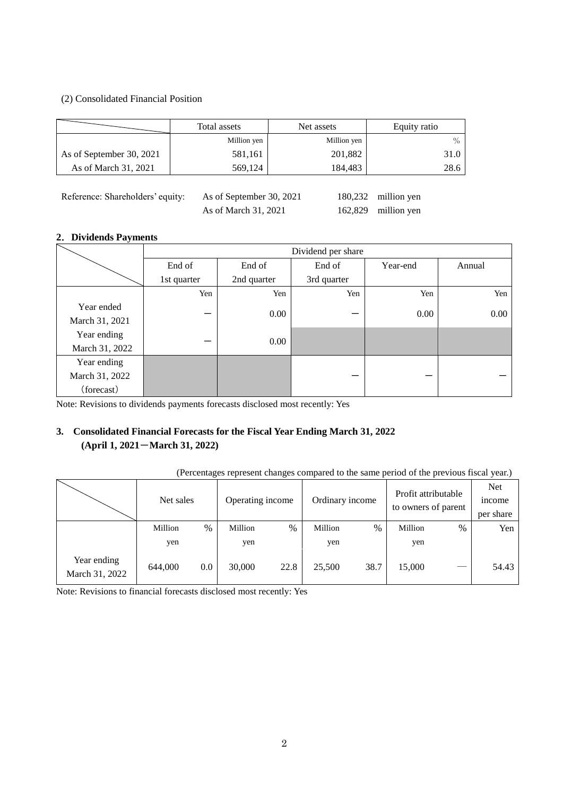## (2) Consolidated Financial Position

|                          | Total assets | Net assets  | Equity ratio |
|--------------------------|--------------|-------------|--------------|
|                          | Million yen  | Million yen | $\%$         |
| As of September 30, 2021 | 581,161      | 201,882     | 31.0         |
| As of March 31, 2021     | 569,124      | 184,483     | 28.6         |
|                          |              |             |              |

| Reference: Shareholders' equity: | As of September 30, 2021 | 180,232 million yen |
|----------------------------------|--------------------------|---------------------|
|                                  | As of March 31, 2021     | 162,829 million yen |

## **2**.**Dividends Payments**

|                |             | Dividend per share |             |          |          |  |  |  |  |  |
|----------------|-------------|--------------------|-------------|----------|----------|--|--|--|--|--|
|                | End of      | End of             | End of      | Year-end | Annual   |  |  |  |  |  |
|                | 1st quarter | 2nd quarter        | 3rd quarter |          |          |  |  |  |  |  |
|                | Yen         | Yen                | Yen         | Yen      | Yen      |  |  |  |  |  |
| Year ended     |             | 0.00               |             | 0.00     | $0.00\,$ |  |  |  |  |  |
| March 31, 2021 |             |                    |             |          |          |  |  |  |  |  |
| Year ending    |             | 0.00               |             |          |          |  |  |  |  |  |
| March 31, 2022 |             |                    |             |          |          |  |  |  |  |  |
| Year ending    |             |                    |             |          |          |  |  |  |  |  |
| March 31, 2022 |             |                    |             |          |          |  |  |  |  |  |
| (forecast)     |             |                    |             |          |          |  |  |  |  |  |

Note: Revisions to dividends payments forecasts disclosed most recently: Yes

# **3. Consolidated Financial Forecasts for the Fiscal Year Ending March 31, 2022 (April 1, 2021**-**March 31, 2022)**

### (Percentages represent changes compared to the same period of the previous fiscal year.)

|                               | Net sales |      | Operating income |      | Ordinary income |      | Profit attributable<br>to owners of parent |      | <b>Net</b><br><i>n</i> come<br>per share |
|-------------------------------|-----------|------|------------------|------|-----------------|------|--------------------------------------------|------|------------------------------------------|
|                               | Million   | $\%$ | Million          | $\%$ | Million         | %    | Million                                    | $\%$ | Yen                                      |
|                               | yen       |      | yen              |      | yen             |      | yen                                        |      |                                          |
| Year ending<br>March 31, 2022 | 644,000   | 0.0  | 30,000           | 22.8 | 25,500          | 38.7 | 15,000                                     |      | 54.43                                    |

Note: Revisions to financial forecasts disclosed most recently: Yes